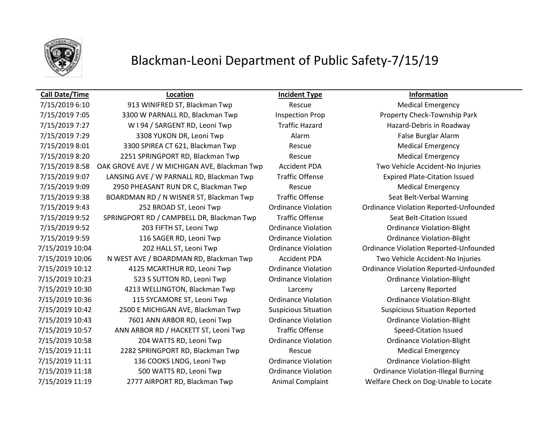

### **Call Date/Time Location Incident Type Information**

7/15/2019 6:10 913 WINIFRED ST, Blackman Twp Rescue Rescue Medical Emergency 7/15/2019 7:05 3300 W PARNALL RD, Blackman Twp Inspection Prop Property Check-Township Park 7/15/2019 7:27 W I 94 / SARGENT RD, Leoni Twp Traffic Hazard Hazard Hazard-Debris in Roadway 7/15/2019 7:29 3308 YUKON DR, Leoni Twp Alarm Alarm False Burglar Alarm 7/15/2019 8:01 3300 SPIREA CT 621, Blackman Twp Rescue Rescue Medical Emergency 7/15/2019 8:20 2251 SPRINGPORT RD, Blackman Twp Rescue Medical Emergency 7/15/2019 8:58 OAK GROVE AVE / W MICHIGAN AVE, Blackman Twp Accident PDA Two Vehicle Accident-No Injuries 7/15/2019 9:07 LANSING AVE / W PARNALL RD, Blackman Twp Traffic Offense Expired Plate-Citation Issued 7/15/2019 9:09 2950 PHEASANT RUN DR C, Blackman Twp Rescue Rescue Medical Emergency 7/15/2019 9:38 BOARDMAN RD / N WISNER ST, Blackman Twp Traffic Offense Seat Belt-Verbal Warning 7/15/2019 9:43 252 BROAD ST, Leoni Twp Ordinance Violation Ordinance Violation Reported-Unfounded 7/15/2019 9:52 SPRINGPORT RD / CAMPBELL DR, Blackman Twp Traffic Offense Seat Belt-Citation Issued 7/15/2019 9:52 203 FIFTH ST, Leoni Twp Ordinance Violation Ordinance Violation-Blight 7/15/2019 9:59 116 SAGER RD, Leoni Twp Ordinance Violation Ordinance Violation-Blight 7/15/2019 10:04 202 HALL ST, Leoni Twp Ordinance Violation Ordinance Violation Reported-Unfounded 7/15/2019 10:06 N WEST AVE / BOARDMAN RD, Blackman Twp Accident PDA Two Vehicle Accident-No Injuries 7/15/2019 10:12 4125 MCARTHUR RD, Leoni Twp Ordinance Violation Ordinance Violation Reported-Unfounded 7/15/2019 10:23 523 S SUTTON RD, Leoni Twp Ordinance Violation Ordinance Violation-Blight 7/15/2019 10:30 4213 WELLINGTON, Blackman Twp Larceny Larceny Reported 7/15/2019 10:36 115 SYCAMORE ST, Leoni Twp Ordinance Violation Ordinance Violation-Blight 7/15/2019 10:42 2500 E MICHIGAN AVE, Blackman Twp Suspicious Situation Suspicious Situation Reported 7/15/2019 10:43 7601 ANN ARBOR RD, Leoni Twp Ordinance Violation Ordinance Violation-Blight 7/15/2019 10:57 ANN ARBOR RD / HACKETT ST, Leoni Twp Traffic Offense Speed-Citation Issued 7/15/2019 10:58 204 WATTS RD, Leoni Twp Ordinance Violation Ordinance Violation-Blight 7/15/2019 11:11 2282 SPRINGPORT RD, Blackman Twp Rescue Medical Emergency 7/15/2019 11:11 136 COOKS LNDG, Leoni Twp Ordinance Violation Ordinance Violation-Blight 7/15/2019 11:18 500 WATTS RD, Leoni Twp **Ordinance Violation** Ordinance Violation-Illegal Burning 7/15/2019 11:19 2777 AIRPORT RD, Blackman Twp Animal Complaint Welfare Check on Dog-Unable to Locate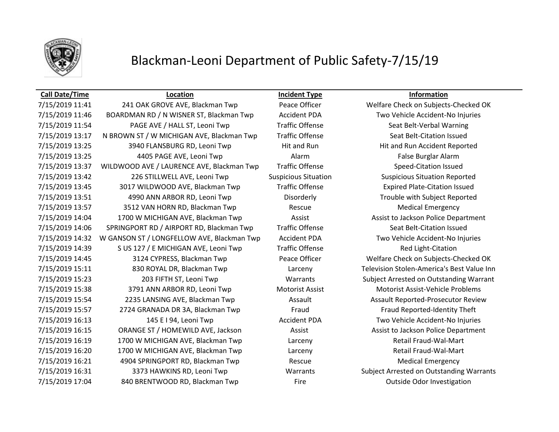

### **Call Date/Time Location Incident Type Information**

7/15/2019 11:46 BOARDMAN RD / N WISNER ST, Blackman Twp Accident PDA Two Vehicle Accident-No Injuries 7/15/2019 11:54 PAGE AVE / HALL ST, Leoni Twp Traffic Offense Seat Belt-Verbal Warning 7/15/2019 13:17 N BROWN ST / W MICHIGAN AVE, Blackman Twp Traffic Offense Seat Belt-Citation Issued 7/15/2019 13:25 3940 FLANSBURG RD, Leoni Twp Hit and Run Hit and Run Hit and Run Accident Reported 7/15/2019 13:25 4405 PAGE AVE, Leoni Twp Alarm Alarm Alarm False Burglar Alarm 7/15/2019 13:37 WILDWOOD AVE / LAURENCE AVE, Blackman Twp Traffic Offense Speed-Citation Issued 7/15/2019 13:42 226 STILLWELL AVE, Leoni Twp Suspicious Situation Suspicious Situation Reported 7/15/2019 13:45 3017 WILDWOOD AVE, Blackman Twp Traffic Offense Expired Plate-Citation Issued 7/15/2019 13:51 4990 ANN ARBOR RD, Leoni Twp Disorderly Disorderly Trouble with Subject Reported 7/15/2019 13:57 3512 VAN HORN RD, Blackman Twp Rescue Medical Emergency 7/15/2019 14:04 1700 W MICHIGAN AVE, Blackman Twp **Assist Assist Assist to Jackson Police Department** 7/15/2019 14:06 SPRINGPORT RD / AIRPORT RD, Blackman Twp Traffic Offense Seat Belt-Citation Issued 7/15/2019 14:32 W GANSON ST / LONGFELLOW AVE, Blackman Twp Accident PDA Two Vehicle Accident-No Injuries 7/15/2019 14:39 S US 127 / E MICHIGAN AVE, Leoni Twp Traffic Offense Track Red Light-Citation 7/15/2019 14:45 3124 CYPRESS, Blackman Twp Peace Officer Welfare Check on Subjects-Checked OK 7/15/2019 15:11 830 ROYAL DR, Blackman Twp Larceny Television Stolen-America's Best Value Inn 7/15/2019 15:23 203 FIFTH ST, Leoni Twp Warrants Subject Arrested on Outstanding Warrant 7/15/2019 15:38 3791 ANN ARBOR RD, Leoni Twp Motorist Assist Motorist Assist-Vehicle Problems 7/15/2019 15:54 2235 LANSING AVE, Blackman Twp **Assault Assault Assault Reported-Prosecutor Review** 7/15/2019 15:57 2724 GRANADA DR 3A, Blackman Twp Fraud Fraud Fraud Fraud Reported-Identity Theft 7/15/2019 16:13 145 E I 94, Leoni Twp Accident PDA Two Vehicle Accident-No Injuries 7/15/2019 16:15 ORANGE ST / HOMEWILD AVE, Jackson Assist Assist Assist to Jackson Police Department 7/15/2019 16:19 1700 W MICHIGAN AVE, Blackman Twp Larceny Retail Fraud-Wal-Mart 7/15/2019 16:20 1700 W MICHIGAN AVE, Blackman Twp Larceny Larceny Retail Fraud-Wal-Mart 7/15/2019 16:21 4904 SPRINGPORT RD, Blackman Twp Rescue Medical Emergency 7/15/2019 16:31 3373 HAWKINS RD, Leoni Twp Warrants Subject Arrested on Outstanding Warrants 7/15/2019 17:04 840 BRENTWOOD RD, Blackman Twp Fire Outside Odor Investigation

7/15/2019 11:41 241 OAK GROVE AVE, Blackman Twp Peace Officer Welfare Check on Subjects-Checked OK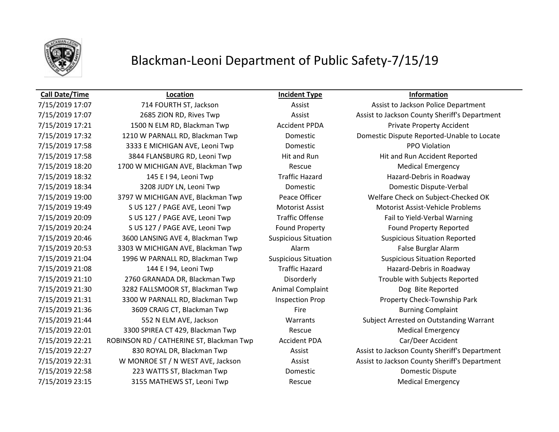

### **Call Date/Time Location Incident Type Information**

7/15/2019 17:21 1500 N ELM RD, Blackman Twp Accident PPDA Private Property Accident 7/15/2019 17:58 3333 E MICHIGAN AVE, Leoni Twp Domestic PPO Violation 7/15/2019 17:58 3844 FLANSBURG RD, Leoni Twp Hit and Run Hit and Run Hit and Run Accident Reported 7/15/2019 18:20 1700 W MICHIGAN AVE, Blackman Twp Rescue Medical Emergency 7/15/2019 18:32 145 E I 94, Leoni Twp Traffic Hazard Hazard-Debris in Roadway 7/15/2019 18:34 3208 JUDY LN, Leoni Twp Domestic Domestic Dispute-Verbal 7/15/2019 19:00 3797 W MICHIGAN AVE, Blackman Twp Peace Officer Welfare Check on Subject-Checked OK 7/15/2019 19:49 S US 127 / PAGE AVE, Leoni Twp Motorist Assist Motorist Assist-Vehicle Problems 7/15/2019 20:09 S US 127 / PAGE AVE, Leoni Twp Traffic Offense Fail to Yield-Verbal Warning 7/15/2019 20:24 S US 127 / PAGE AVE, Leoni Twp Found Property Found Property Found Property Reported 7/15/2019 20:46 3600 LANSING AVE 4, Blackman Twp Suspicious Situation Suspicious Situation Reported 7/15/2019 20:53 3303 W MICHIGAN AVE, Blackman Twp Alarm Alarm False Burglar Alarm 7/15/2019 21:04 1996 W PARNALL RD, Blackman Twp Suspicious Situation Suspicious Situation Reported 7/15/2019 21:08 144 E I 94, Leoni Twp Traffic Hazard Hazard-Debris in Roadway 7/15/2019 21:10 2760 GRANADA DR, Blackman Twp Disorderly Trouble with Subjects Reported 7/15/2019 21:30 3282 FALLSMOOR ST, Blackman Twp Animal Complaint Dog Bite Reported 7/15/2019 21:31 3300 W PARNALL RD, Blackman Twp Inspection Prop Property Check-Township Park 7/15/2019 21:36 3609 CRAIG CT, Blackman Twp Fire Fire Burning Complaint 7/15/2019 22:01 3300 SPIREA CT 429, Blackman Twp Rescue Medical Emergency 7/15/2019 22:21 ROBINSON RD / CATHERINE ST, Blackman Twp Accident PDA Car/Deer Accident 7/15/2019 22:58 223 WATTS ST, Blackman Twp Domestic Domestic Dispute 7/15/2019 23:15 3155 MATHEWS ST, Leoni Twp Rescue Rescue Medical Emergency

7/15/2019 17:07 714 FOURTH ST, Jackson Assist Assist Assist to Jackson Police Department 7/15/2019 17:07 2685 ZION RD, Rives Twp Assist Assist Assist to Jackson County Sheriff's Department 7/15/2019 17:32 1210 W PARNALL RD, Blackman Twp Domestic Domestic Dispute Reported-Unable to Locate 7/15/2019 21:44 552 N ELM AVE, Jackson Warrants Subject Arrested on Outstanding Warrant 7/15/2019 22:27 830 ROYAL DR, Blackman Twp Assist Assist Assist to Jackson County Sheriff's Department 7/15/2019 22:31 W MONROE ST / N WEST AVE, Jackson Assist Assist Assist to Jackson County Sheriff's Department